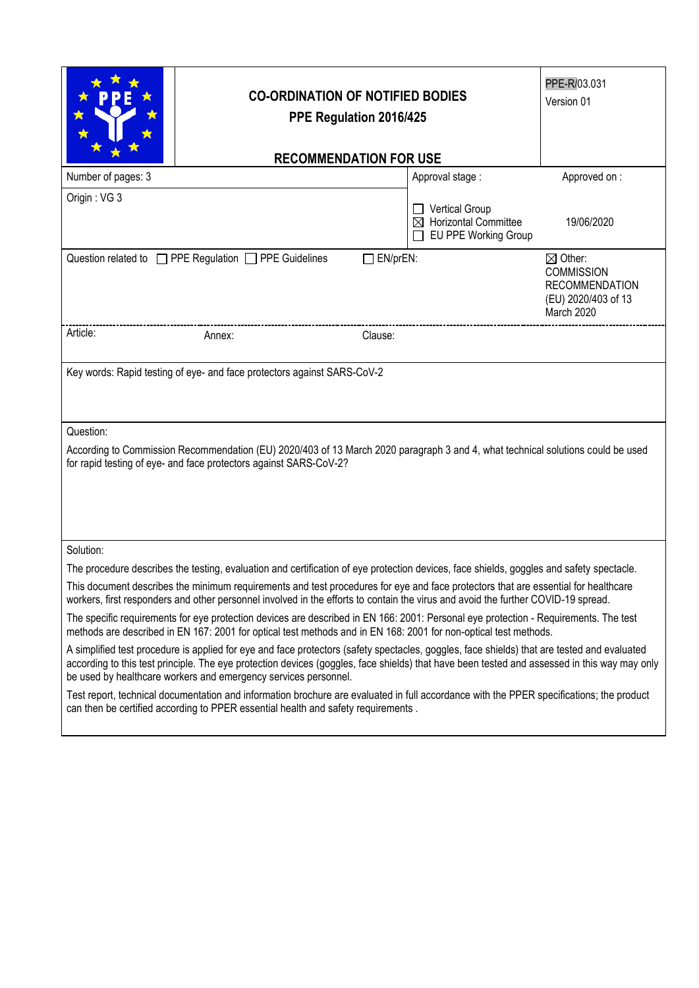|                                                                                                                                                                                                                                                                                                                                                                | <b>CO-ORDINATION OF NOTIFIED BODIES</b><br>PPE Regulation 2016/425                |                                                                                                       |  |  |  |
|----------------------------------------------------------------------------------------------------------------------------------------------------------------------------------------------------------------------------------------------------------------------------------------------------------------------------------------------------------------|-----------------------------------------------------------------------------------|-------------------------------------------------------------------------------------------------------|--|--|--|
| <b>RECOMMENDATION FOR USE</b>                                                                                                                                                                                                                                                                                                                                  |                                                                                   |                                                                                                       |  |  |  |
| Number of pages: 3                                                                                                                                                                                                                                                                                                                                             | Approval stage:                                                                   | Approved on:                                                                                          |  |  |  |
| Origin: VG 3                                                                                                                                                                                                                                                                                                                                                   | Vertical Group<br>$\boxtimes$ Horizontal Committee<br><b>EU PPE Working Group</b> | 19/06/2020                                                                                            |  |  |  |
| Question related to □ PPE Regulation □ PPE Guidelines<br>$\Box$ EN/prEN:                                                                                                                                                                                                                                                                                       |                                                                                   | $\boxtimes$ Other:<br><b>COMMISSION</b><br><b>RECOMMENDATION</b><br>(EU) 2020/403 of 13<br>March 2020 |  |  |  |
| Article:<br>Clause:<br>Annex:                                                                                                                                                                                                                                                                                                                                  |                                                                                   |                                                                                                       |  |  |  |
| Key words: Rapid testing of eye- and face protectors against SARS-CoV-2                                                                                                                                                                                                                                                                                        |                                                                                   |                                                                                                       |  |  |  |
| Question:                                                                                                                                                                                                                                                                                                                                                      |                                                                                   |                                                                                                       |  |  |  |
| According to Commission Recommendation (EU) 2020/403 of 13 March 2020 paragraph 3 and 4, what technical solutions could be used<br>for rapid testing of eye- and face protectors against SARS-CoV-2?                                                                                                                                                           |                                                                                   |                                                                                                       |  |  |  |
| Solution:                                                                                                                                                                                                                                                                                                                                                      |                                                                                   |                                                                                                       |  |  |  |
| The procedure describes the testing, evaluation and certification of eye protection devices, face shields, goggles and safety spectacle.                                                                                                                                                                                                                       |                                                                                   |                                                                                                       |  |  |  |
| This document describes the minimum requirements and test procedures for eye and face protectors that are essential for healthcare<br>workers, first responders and other personnel involved in the efforts to contain the virus and avoid the further COVID-19 spread.                                                                                        |                                                                                   |                                                                                                       |  |  |  |
| The specific requirements for eye protection devices are described in EN 166: 2001: Personal eye protection - Requirements. The test<br>methods are described in EN 167: 2001 for optical test methods and in EN 168: 2001 for non-optical test methods.                                                                                                       |                                                                                   |                                                                                                       |  |  |  |
| A simplified test procedure is applied for eye and face protectors (safety spectacles, goggles, face shields) that are tested and evaluated<br>according to this test principle. The eye protection devices (goggles, face shields) that have been tested and assessed in this way may only<br>be used by healthcare workers and emergency services personnel. |                                                                                   |                                                                                                       |  |  |  |
| Test report, technical documentation and information brochure are evaluated in full accordance with the PPER specifications; the product<br>can then be certified according to PPER essential health and safety requirements.                                                                                                                                  |                                                                                   |                                                                                                       |  |  |  |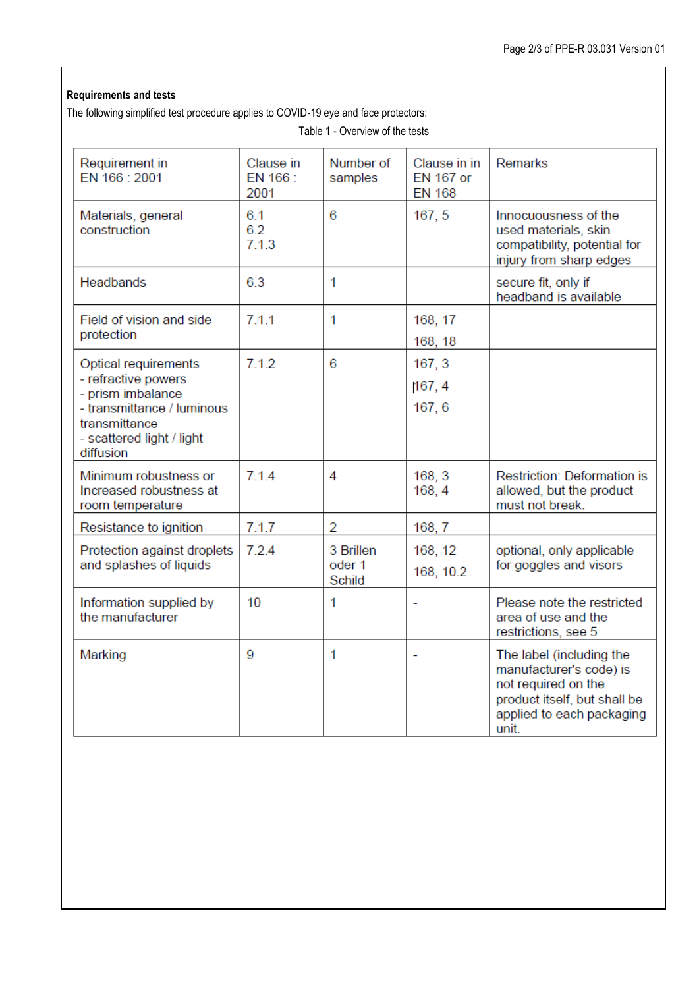## **Requirements and tests**

The following simplified test procedure applies to COVID-19 eye and face protectors:

| Requirement in<br>EN 166 : 2001                                                                                                                           | Clause in<br>EN 166 :<br>2001 | Number of<br>samples          | Clause in in<br><b>EN 167 or</b><br><b>EN 168</b> | <b>Remarks</b>                                                                                                                                   |
|-----------------------------------------------------------------------------------------------------------------------------------------------------------|-------------------------------|-------------------------------|---------------------------------------------------|--------------------------------------------------------------------------------------------------------------------------------------------------|
| Materials, general<br>construction                                                                                                                        | 6.1<br>6.2<br>7.1.3           | 6                             | 167, 5                                            | Innocuousness of the<br>used materials, skin<br>compatibility, potential for<br>injury from sharp edges                                          |
| <b>Headbands</b>                                                                                                                                          | 6.3                           | 1                             |                                                   | secure fit, only if<br>headband is available                                                                                                     |
| Field of vision and side<br>protection                                                                                                                    | 7.1.1                         | 1                             | 168, 17<br>168, 18                                |                                                                                                                                                  |
| Optical requirements<br>- refractive powers<br>- prism imbalance<br>- transmittance / luminous<br>transmittance<br>- scattered light / light<br>diffusion | 7.1.2                         | 6                             | 167, 3<br>167, 4<br>167, 6                        |                                                                                                                                                  |
| Minimum robustness or<br>Increased robustness at<br>room temperature                                                                                      | 714                           | 4                             | 168, 3<br>168, 4                                  | <b>Restriction: Deformation is</b><br>allowed, but the product<br>must not break.                                                                |
| Resistance to ignition                                                                                                                                    | 7.1.7                         | $\overline{2}$                | 168, 7                                            |                                                                                                                                                  |
| Protection against droplets<br>and splashes of liquids                                                                                                    | 7.2.4                         | 3 Brillen<br>oder 1<br>Schild | 168, 12<br>168, 10.2                              | optional, only applicable<br>for goggles and visors                                                                                              |
| Information supplied by<br>the manufacturer                                                                                                               | 10                            | 1                             |                                                   | Please note the restricted<br>area of use and the<br>restrictions, see 5                                                                         |
| Marking                                                                                                                                                   | 9                             | 1                             | $\equiv$                                          | The label (including the<br>manufacturer's code) is<br>not required on the<br>product itself, but shall be<br>applied to each packaging<br>unit. |

Table 1 - Overview of the tests